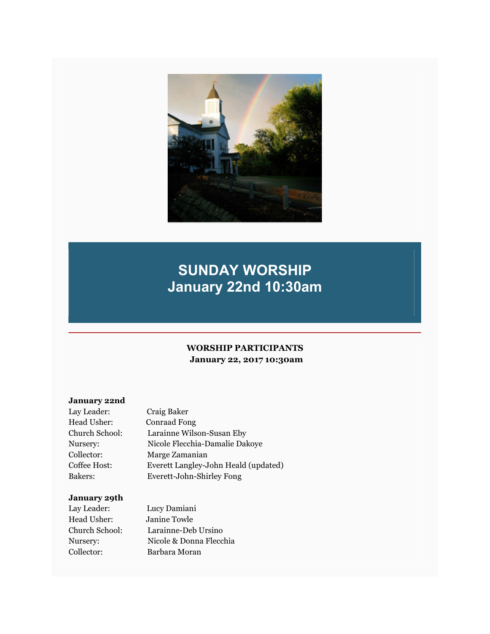

# **SUNDAY WORSHIP January 22nd 10:30am**

# **WORSHIP PARTICIPANTS January 22, 2017 10:30am**

# **January 22nd**

| Lay Leader:    | Craig Baker                          |
|----------------|--------------------------------------|
| Head Usher:    | <b>Conraad Fong</b>                  |
| Church School: | Larainne Wilson-Susan Eby            |
| Nursery:       | Nicole Flecchia-Damalie Dakoye       |
| Collector:     | Marge Zamanian                       |
| Coffee Host:   | Everett Langley-John Heald (updated) |
| Bakers:        | Everett-John-Shirley Fong            |

#### **January 29th**

| Lay Leader:    | Lucy Damiani            |
|----------------|-------------------------|
| Head Usher:    | Janine Towle            |
| Church School: | Larainne-Deb Ursino     |
| Nurserv:       | Nicole & Donna Flecchia |
| Collector:     | Barbara Moran           |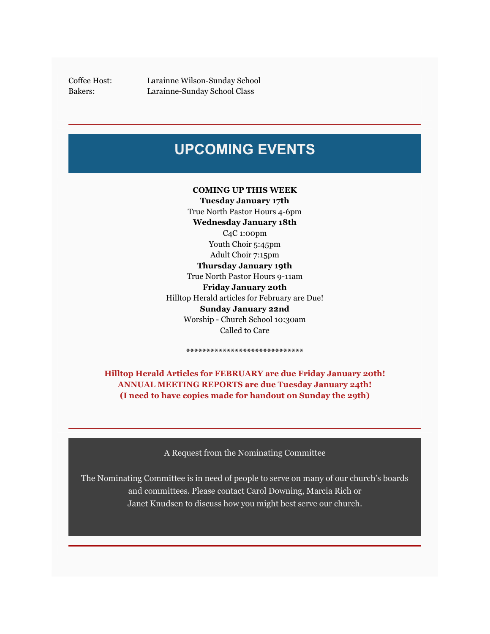Coffee Host: Larainne Wilson-Sunday School Bakers: Larainne-Sunday School Class

# **UPCOMING EVENTS**

#### **COMING UP THIS WEEK**

**Tuesday January 17th** True North Pastor Hours 4-6pm **Wednesday January 18th** C4C 1:00pm Youth Choir 5:45pm Adult Choir 7:15pm **Thursday January 19th** True North Pastor Hours 9-11am **Friday January 20th** Hilltop Herald articles for February are Due! **Sunday January 22nd** Worship - Church School 10:30am Called to Care

**Hilltop Herald Articles for FEBRUARY are due Friday January 20th! ANNUAL MEETING REPORTS are due Tuesday January 24th! (I need to have copies made for handout on Sunday the 29th)**

**\*\*\*\*\*\*\*\*\*\*\*\*\*\*\*\*\*\*\*\*\*\*\*\*\*\*\*\*\***

A Request from the Nominating Committee

The Nominating Committee is in need of people to serve on many of our church's boards and committees. Please contact Carol Downing, Marcia Rich or Janet Knudsen to discuss how you might best serve our church.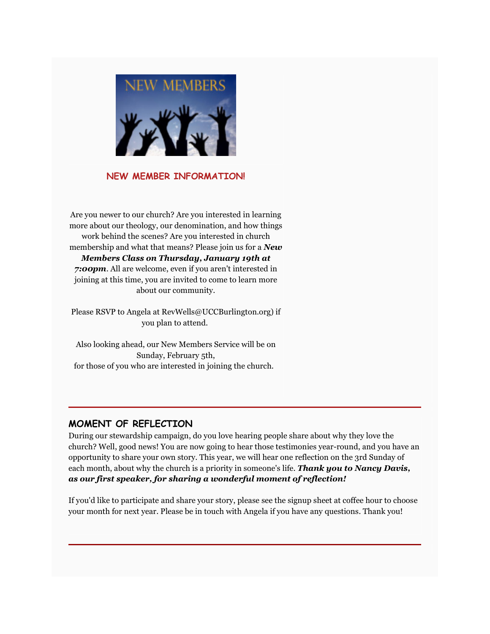

#### **NEW MEMBER INFORMATION!**

Are you newer to our church? Are you interested in learning more about our theology, our denomination, and how things work behind the scenes? Are you interested in church membership and what that means? Please join us for a *New Members Class on Thursday, January 19th at 7:00pm*. All are welcome, even if you aren't interested in joining at this time, you are invited to come to learn more

about our community.

Please RSVP to Angela at RevWells@UCCBurlington.org) if you plan to attend.

Also looking ahead, our New Members Service will be on Sunday, February 5th, for those of you who are interested in joining the church.

# **MOMENT OF REFLECTION**

During our stewardship campaign, do you love hearing people share about why they love the church? Well, good news! You are now going to hear those testimonies year-round, and you have an opportunity to share your own story. This year, we will hear one reflection on the 3rd Sunday of each month, about why the church is a priority in someone's life. *Thank you to Nancy Davis, as our first speaker, for sharing a wonderful moment of reflection!*

If you'd like to participate and share your story, please see the signup sheet at coffee hour to choose your month for next year. Please be in touch with Angela if you have any questions. Thank you!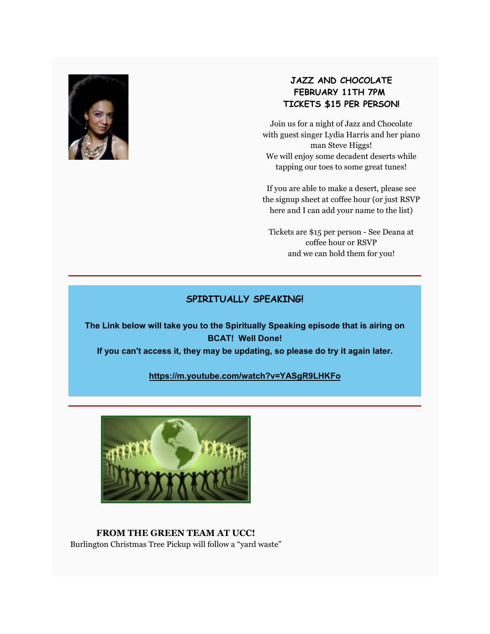

# **JAZZ AND CHOCOLATE FEBRUARY 11TH 7PM TICKETS \$15 PER PERSON!**

Join us for a night of Jazz and Chocolate with guest singer Lydia Harris and her piano man Steve Higgs! We will enjoy some decadent deserts while tapping our toes to some great tunes!

If you are able to make a desert, please see the signup sheet at coffee hour (or just RSVP here and I can add your name to the list)

Tickets are \$15 per person - See Deana at coffee hour or RSVP and we can hold them for you!

#### **SPIRITUALLY SPEAKING!**

**The Link below will take you to the Spiritually Speaking episode that is airing on BCAT! Well Done!** 

**If you can't access it, they may be updating, so please do try it again later.**

#### **https://m.youtube.com/watch?v=YASgR9LHKFo**



**FROM THE GREEN TEAM AT UCC!** Burlington Christmas Tree Pickup will follow a "yard waste"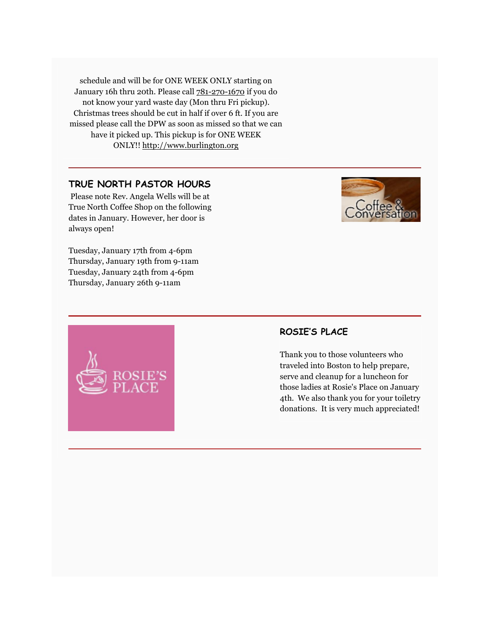schedule and will be for ONE WEEK ONLY starting on January 16h thru 20th. Please call 781-270-1670 if you do not know your yard waste day (Mon thru Fri pickup). Christmas trees should be cut in half if over 6 ft. If you are missed please call the DPW as soon as missed so that we can have it picked up. This pickup is for ONE WEEK ONLY!! http://www.burlington.org

#### **TRUE NORTH PASTOR HOURS**

 Please note Rev. Angela Wells will be at True North Coffee Shop on the following dates in January. However, her door is always open!

Tuesday, January 17th from 4-6pm Thursday, January 19th from 9-11am Tuesday, January 24th from 4-6pm Thursday, January 26th 9-11am



# **ROSIE'S PLACE**

Thank you to those volunteers who traveled into Boston to help prepare, serve and cleanup for a luncheon for those ladies at Rosie's Place on January 4th. We also thank you for your toiletry donations. It is very much appreciated!

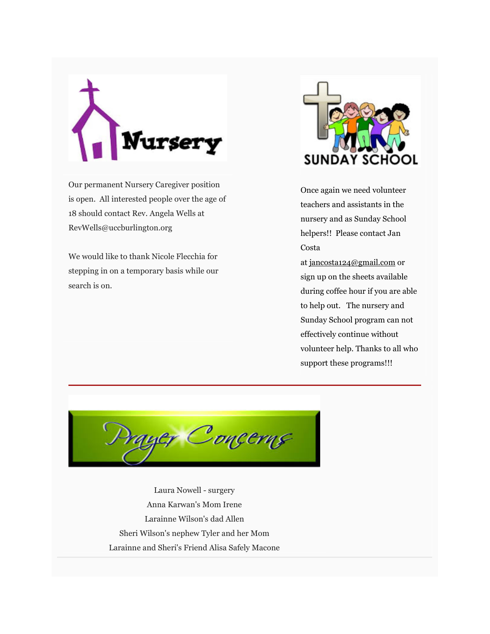

Our permanent Nursery Caregiver position is open. All interested people over the age of 18 should contact Rev. Angela Wells at RevWells@uccburlington.org

We would like to thank Nicole Flecchia for stepping in on a temporary basis while our search is on.



Once again we need volunteer teachers and assistants in the nursery and as Sunday School helpers!! Please contact Jan Costa

at jancosta124@gmail.com or sign up on the sheets available during coffee hour if you are able to help out. The nursery and Sunday School program can not effectively continue without volunteer help. Thanks to all who support these programs!!!



Laura Nowell - surgery Anna Karwan's Mom Irene Larainne Wilson's dad Allen Sheri Wilson's nephew Tyler and her Mom Larainne and Sheri's Friend Alisa Safely Macone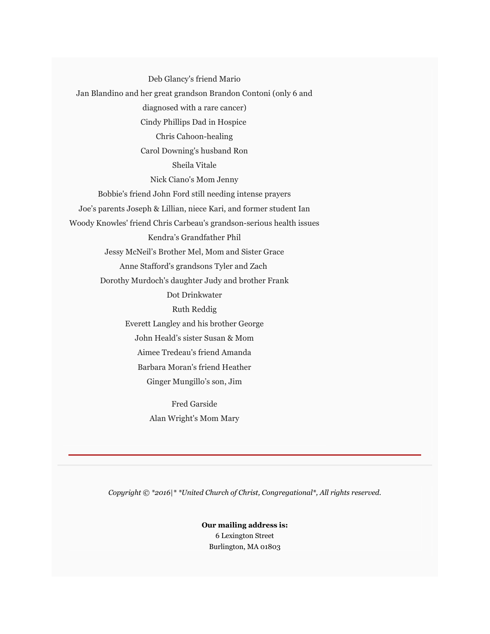Deb Glancy's friend Mario Jan Blandino and her great grandson Brandon Contoni (only 6 and diagnosed with a rare cancer) Cindy Phillips Dad in Hospice Chris Cahoon-healing Carol Downing's husband Ron Sheila Vitale Nick Ciano's Mom Jenny Bobbie's friend John Ford still needing intense prayers Joe's parents Joseph & Lillian, niece Kari, and former student Ian Woody Knowles' friend Chris Carbeau's grandson-serious health issues Kendra's Grandfather Phil Jessy McNeil's Brother Mel, Mom and Sister Grace Anne Stafford's grandsons Tyler and Zach Dorothy Murdoch's daughter Judy and brother Frank Dot Drinkwater Ruth Reddig Everett Langley and his brother George John Heald's sister Susan & Mom Aimee Tredeau's friend Amanda Barbara Moran's friend Heather Ginger Mungillo's son, Jim

> Fred Garside Alan Wright's Mom Mary

*Copyright © \*2016|\* \*United Church of Christ, Congregational\*, All rights reserved.*

**Our mailing address is:** 6 Lexington Street Burlington, MA 01803